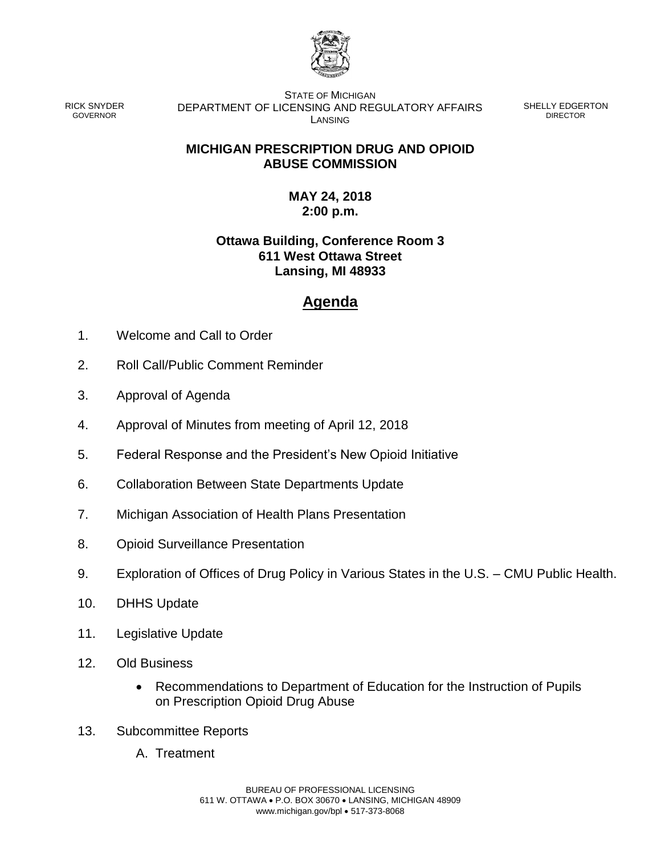

RICK SNYDER GOVERNOR

STATE OF MICHIGAN DEPARTMENT OF LICENSING AND REGULATORY AFFAIRS LANSING

SHELLY EDGERTON DIRECTOR

## **MICHIGAN PRESCRIPTION DRUG AND OPIOID ABUSE COMMISSION**

## **MAY 24, 2018 2:00 p.m.**

## **Ottawa Building, Conference Room 3 611 West Ottawa Street Lansing, MI 48933**

## **Agenda**

- 1. Welcome and Call to Order
- 2. Roll Call/Public Comment Reminder
- 3. Approval of Agenda
- 4. Approval of Minutes from meeting of April 12, 2018
- 5. Federal Response and the President's New Opioid Initiative
- 6. Collaboration Between State Departments Update
- 7. Michigan Association of Health Plans Presentation
- 8. Opioid Surveillance Presentation
- 9. Exploration of Offices of Drug Policy in Various States in the U.S. CMU Public Health.
- 10. DHHS Update
- 11. Legislative Update
- 12. Old Business
	- Recommendations to Department of Education for the Instruction of Pupils on Prescription Opioid Drug Abuse
- 13. Subcommittee Reports
	- A. Treatment